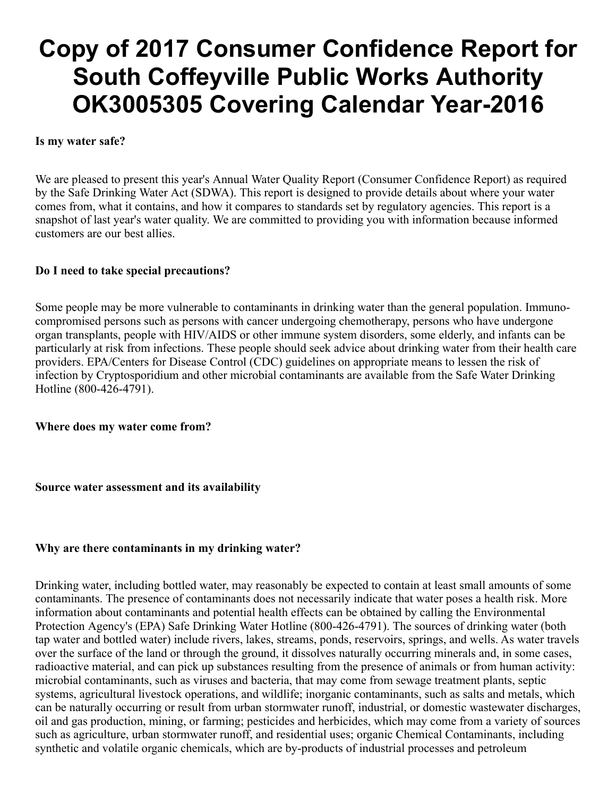# Copy of 2017 Consumer Confidence Report for South Coffeyville Public Works Authority OK3005305 Covering Calendar Year-2016

#### Is my water safe?

We are pleased to present this year's Annual Water Quality Report (Consumer Confidence Report) as required by the Safe Drinking Water Act (SDWA). This report is designed to provide details about where your water comes from, what it contains, and how it compares to standards set by regulatory agencies. This report is a snapshot of last year's water quality. We are committed to providing you with information because informed customers are our best allies.

#### Do I need to take special precautions?

Some people may be more vulnerable to contaminants in drinking water than the general population. Immunocompromised persons such as persons with cancer undergoing chemotherapy, persons who have undergone organ transplants, people with HIV/AIDS or other immune system disorders, some elderly, and infants can be particularly at risk from infections. These people should seek advice about drinking water from their health care providers. EPA/Centers for Disease Control (CDC) guidelines on appropriate means to lessen the risk of infection by Cryptosporidium and other microbial contaminants are available from the Safe Water Drinking Hotline (800-426-4791).

#### Where does my water come from?

Source water assessment and its availability

#### Why are there contaminants in my drinking water?

Drinking water, including bottled water, may reasonably be expected to contain at least small amounts of some contaminants. The presence of contaminants does not necessarily indicate that water poses a health risk. More information about contaminants and potential health effects can be obtained by calling the Environmental Protection Agency's (EPA) Safe Drinking Water Hotline (800-426-4791). The sources of drinking water (both tap water and bottled water) include rivers, lakes, streams, ponds, reservoirs, springs, and wells. As water travels over the surface of the land or through the ground, it dissolves naturally occurring minerals and, in some cases, radioactive material, and can pick up substances resulting from the presence of animals or from human activity: microbial contaminants, such as viruses and bacteria, that may come from sewage treatment plants, septic systems, agricultural livestock operations, and wildlife; inorganic contaminants, such as salts and metals, which can be naturally occurring or result from urban stormwater runoff, industrial, or domestic wastewater discharges, oil and gas production, mining, or farming; pesticides and herbicides, which may come from a variety of sources such as agriculture, urban stormwater runoff, and residential uses; organic Chemical Contaminants, including synthetic and volatile organic chemicals, which are by-products of industrial processes and petroleum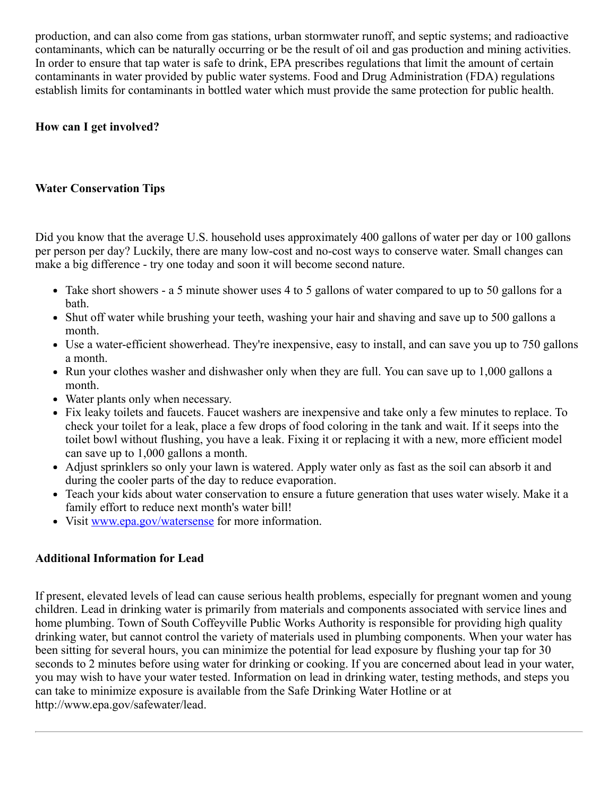production, and can also come from gas stations, urban stormwater runoff, and septic systems; and radioactive contaminants, which can be naturally occurring or be the result of oil and gas production and mining activities. In order to ensure that tap water is safe to drink, EPA prescribes regulations that limit the amount of certain contaminants in water provided by public water systems. Food and Drug Administration (FDA) regulations establish limits for contaminants in bottled water which must provide the same protection for public health.

#### How can I get involved?

#### Water Conservation Tips

Did you know that the average U.S. household uses approximately 400 gallons of water per day or 100 gallons per person per day? Luckily, there are many low-cost and no-cost ways to conserve water. Small changes can make a big difference - try one today and soon it will become second nature.

- Take short showers a 5 minute shower uses 4 to 5 gallons of water compared to up to 50 gallons for a bath.
- Shut off water while brushing your teeth, washing your hair and shaving and save up to 500 gallons a month.
- Use a water-efficient showerhead. They're inexpensive, easy to install, and can save you up to 750 gallons a month.
- Run your clothes washer and dishwasher only when they are full. You can save up to 1,000 gallons a month.
- Water plants only when necessary.
- Fix leaky toilets and faucets. Faucet washers are inexpensive and take only a few minutes to replace. To check your toilet for a leak, place a few drops of food coloring in the tank and wait. If it seeps into the toilet bowl without flushing, you have a leak. Fixing it or replacing it with a new, more efficient model can save up to 1,000 gallons a month.
- Adjust sprinklers so only your lawn is watered. Apply water only as fast as the soil can absorb it and during the cooler parts of the day to reduce evaporation.
- Teach your kids about water conservation to ensure a future generation that uses water wisely. Make it a family effort to reduce next month's water bill!
- Visit [www.epa.gov/watersense](http://www.epa.gov/watersense) for more information.

#### Additional Information for Lead

If present, elevated levels of lead can cause serious health problems, especially for pregnant women and young children. Lead in drinking water is primarily from materials and components associated with service lines and home plumbing. Town of South Coffeyville Public Works Authority is responsible for providing high quality drinking water, but cannot control the variety of materials used in plumbing components. When your water has been sitting for several hours, you can minimize the potential for lead exposure by flushing your tap for 30 seconds to 2 minutes before using water for drinking or cooking. If you are concerned about lead in your water, you may wish to have your water tested. Information on lead in drinking water, testing methods, and steps you can take to minimize exposure is available from the Safe Drinking Water Hotline or at http://www.epa.gov/safewater/lead.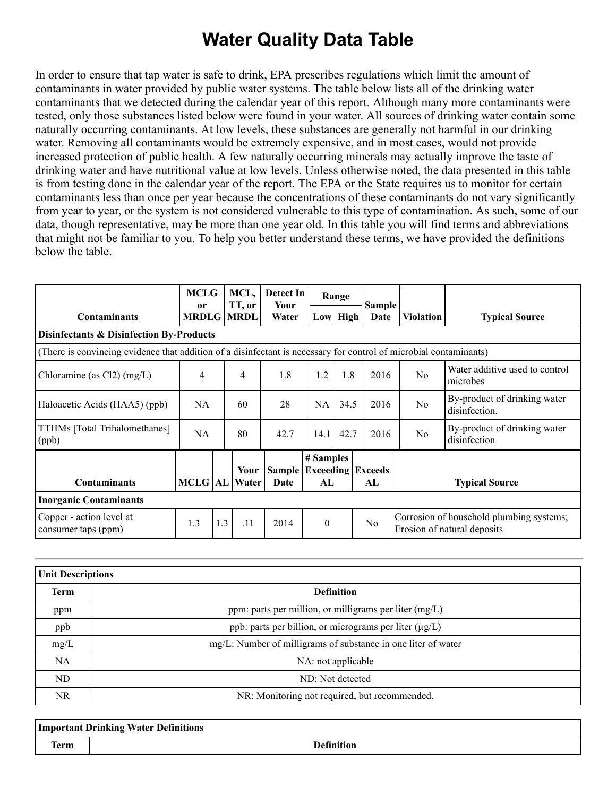## Water Quality Data Table

In order to ensure that tap water is safe to drink, EPA prescribes regulations which limit the amount of contaminants in water provided by public water systems. The table below lists all of the drinking water contaminants that we detected during the calendar year of this report. Although many more contaminants were tested, only those substances listed below were found in your water. All sources of drinking water contain some naturally occurring contaminants. At low levels, these substances are generally not harmful in our drinking water. Removing all contaminants would be extremely expensive, and in most cases, would not provide increased protection of public health. A few naturally occurring minerals may actually improve the taste of drinking water and have nutritional value at low levels. Unless otherwise noted, the data presented in this table is from testing done in the calendar year of the report. The EPA or the State requires us to monitor for certain contaminants less than once per year because the concentrations of these contaminants do not vary significantly from year to year, or the system is not considered vulnerable to this type of contamination. As such, some of our data, though representative, may be more than one year old. In this table you will find terms and abbreviations that might not be familiar to you. To help you better understand these terms, we have provided the definitions below the table.

|                                                                                                                   | <b>MCLG</b>             |  | MCL,<br>TT, or | Detect In<br>Your                       |                 | Range      |                                                                         |                  |                                               |
|-------------------------------------------------------------------------------------------------------------------|-------------------------|--|----------------|-----------------------------------------|-----------------|------------|-------------------------------------------------------------------------|------------------|-----------------------------------------------|
| <b>Contaminants</b>                                                                                               | 0r<br><b>MRDLG MRDL</b> |  |                | Water                                   |                 | $Low$ High | <b>Sample</b><br>Date                                                   | <b>Violation</b> | <b>Typical Source</b>                         |
| <b>Disinfectants &amp; Disinfection By-Products</b>                                                               |                         |  |                |                                         |                 |            |                                                                         |                  |                                               |
| (There is convincing evidence that addition of a disinfectant is necessary for control of microbial contaminants) |                         |  |                |                                         |                 |            |                                                                         |                  |                                               |
| Chloramine (as $Cl2$ ) (mg/L)                                                                                     | $\overline{4}$          |  | $\overline{4}$ | 1.8                                     | 1.2             | 1.8        | 2016                                                                    | N <sub>0</sub>   | Water additive used to control<br>microbes    |
| Haloacetic Acids (HAA5) (ppb)                                                                                     | <b>NA</b>               |  | 60             | 28                                      | NA.             | 34.5       | 2016                                                                    | N <sub>0</sub>   | By-product of drinking water<br>disinfection. |
| TTHMs [Total Trihalomethanes]<br>(ppb)                                                                            | <b>NA</b>               |  | 80             | 42.7                                    | 14.1            | 42.7       | 2016                                                                    | N <sub>o</sub>   | By-product of drinking water<br>disinfection  |
| <b>Contaminants</b>                                                                                               | <b>MCLG</b> AL Water    |  | Your           | <b>Sample Exceeding Exceeds</b><br>Date | # Samples<br>AL |            | AL                                                                      |                  | <b>Typical Source</b>                         |
| <b>Inorganic Contaminants</b>                                                                                     |                         |  |                |                                         |                 |            |                                                                         |                  |                                               |
| Copper - action level at<br>consumer taps (ppm)                                                                   | 1.3<br>.11<br>1.3       |  | 2014           | $\theta$                                |                 | No         | Corrosion of household plumbing systems;<br>Erosion of natural deposits |                  |                                               |

| <b>Unit Descriptions</b> |                                                               |  |  |  |  |
|--------------------------|---------------------------------------------------------------|--|--|--|--|
| <b>Term</b>              | <b>Definition</b>                                             |  |  |  |  |
| ppm                      | ppm: parts per million, or milligrams per liter (mg/L)        |  |  |  |  |
| ppb                      | ppb: parts per billion, or micrograms per liter $(\mu g/L)$   |  |  |  |  |
| mg/L                     | mg/L: Number of milligrams of substance in one liter of water |  |  |  |  |
| NA.                      | NA: not applicable                                            |  |  |  |  |
| ND.                      | ND: Not detected                                              |  |  |  |  |
| NR.                      | NR: Monitoring not required, but recommended.                 |  |  |  |  |

| <b>Important Drinking Water Definitions</b> |            |  |  |  |
|---------------------------------------------|------------|--|--|--|
| m.<br>erm                                   | Definition |  |  |  |